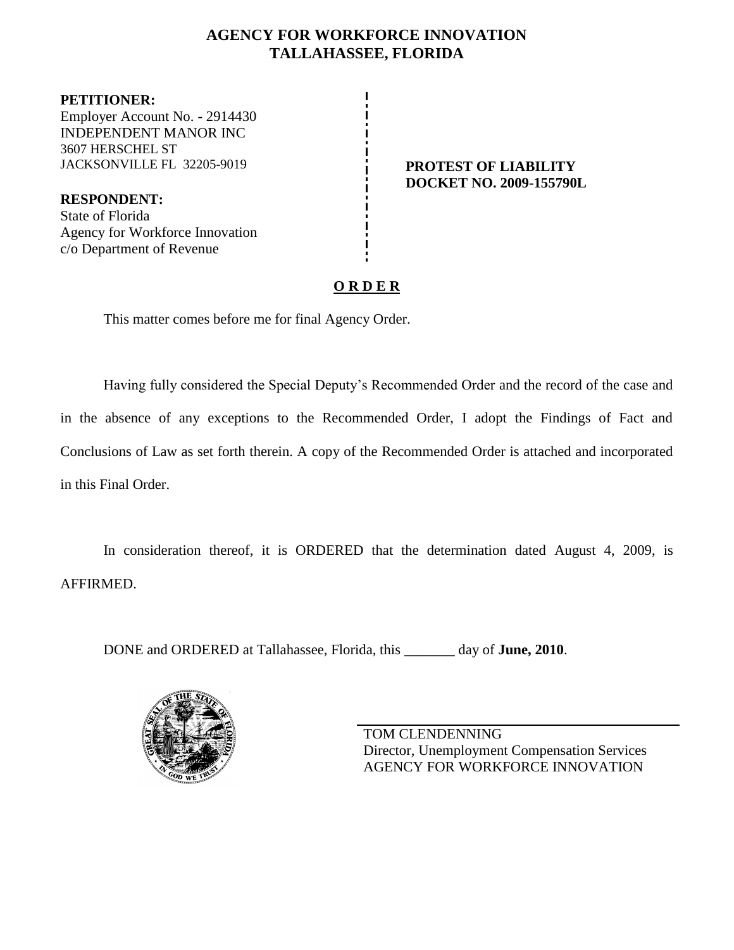# **AGENCY FOR WORKFORCE INNOVATION TALLAHASSEE, FLORIDA**

**PETITIONER:** Employer Account No. - 2914430 INDEPENDENT MANOR INC 3607 HERSCHEL ST JACKSONVILLE FL 32205-9019 **PROTEST OF LIABILITY**

**RESPONDENT:** State of Florida Agency for Workforce Innovation c/o Department of Revenue

**DOCKET NO. 2009-155790L**

# **O R D E R**

This matter comes before me for final Agency Order.

Having fully considered the Special Deputy's Recommended Order and the record of the case and in the absence of any exceptions to the Recommended Order, I adopt the Findings of Fact and Conclusions of Law as set forth therein. A copy of the Recommended Order is attached and incorporated in this Final Order.

In consideration thereof, it is ORDERED that the determination dated August 4, 2009, is AFFIRMED.

DONE and ORDERED at Tallahassee, Florida, this **\_\_\_\_\_\_\_** day of **June, 2010**.



TOM CLENDENNING Director, Unemployment Compensation Services AGENCY FOR WORKFORCE INNOVATION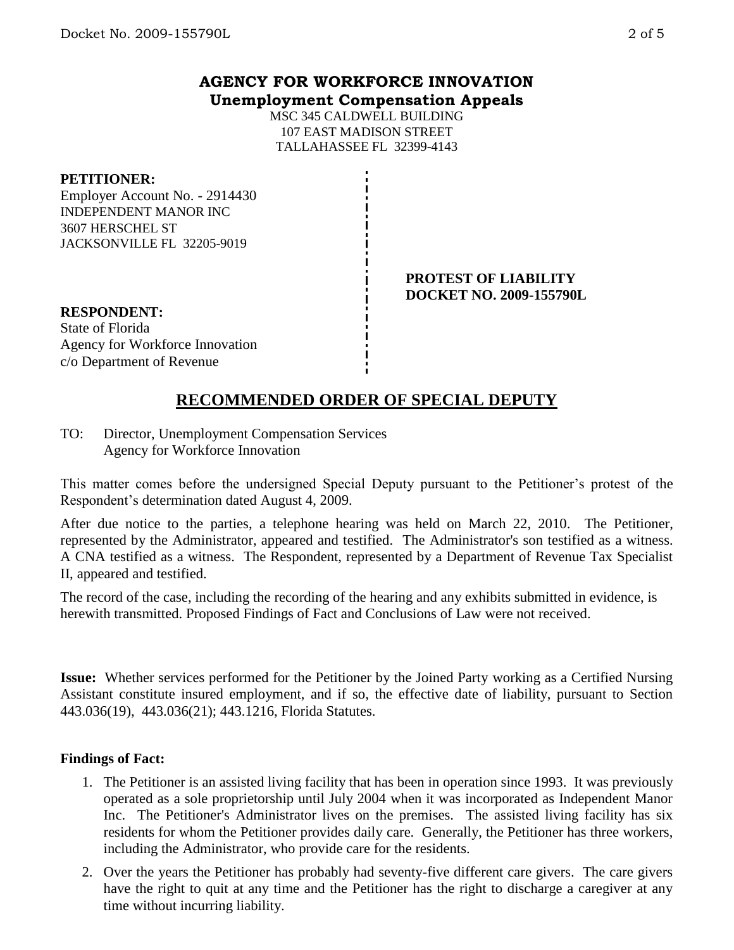## **AGENCY FOR WORKFORCE INNOVATION Unemployment Compensation Appeals**

MSC 345 CALDWELL BUILDING 107 EAST MADISON STREET TALLAHASSEE FL 32399-4143

#### **PETITIONER:**

Employer Account No. - 2914430 INDEPENDENT MANOR INC 3607 HERSCHEL ST JACKSONVILLE FL 32205-9019

> **PROTEST OF LIABILITY DOCKET NO. 2009-155790L**

**RESPONDENT:** State of Florida Agency for Workforce Innovation c/o Department of Revenue

# **RECOMMENDED ORDER OF SPECIAL DEPUTY**

TO: Director, Unemployment Compensation Services Agency for Workforce Innovation

This matter comes before the undersigned Special Deputy pursuant to the Petitioner's protest of the Respondent's determination dated August 4, 2009.

After due notice to the parties, a telephone hearing was held on March 22, 2010. The Petitioner, represented by the Administrator, appeared and testified. The Administrator's son testified as a witness. A CNA testified as a witness. The Respondent, represented by a Department of Revenue Tax Specialist II, appeared and testified.

The record of the case, including the recording of the hearing and any exhibits submitted in evidence, is herewith transmitted. Proposed Findings of Fact and Conclusions of Law were not received.

**Issue:** Whether services performed for the Petitioner by the Joined Party working as a Certified Nursing Assistant constitute insured employment, and if so, the effective date of liability, pursuant to Section 443.036(19), 443.036(21); 443.1216, Florida Statutes.

## **Findings of Fact:**

- 1. The Petitioner is an assisted living facility that has been in operation since 1993. It was previously operated as a sole proprietorship until July 2004 when it was incorporated as Independent Manor Inc. The Petitioner's Administrator lives on the premises. The assisted living facility has six residents for whom the Petitioner provides daily care. Generally, the Petitioner has three workers, including the Administrator, who provide care for the residents.
- 2. Over the years the Petitioner has probably had seventy-five different care givers. The care givers have the right to quit at any time and the Petitioner has the right to discharge a caregiver at any time without incurring liability.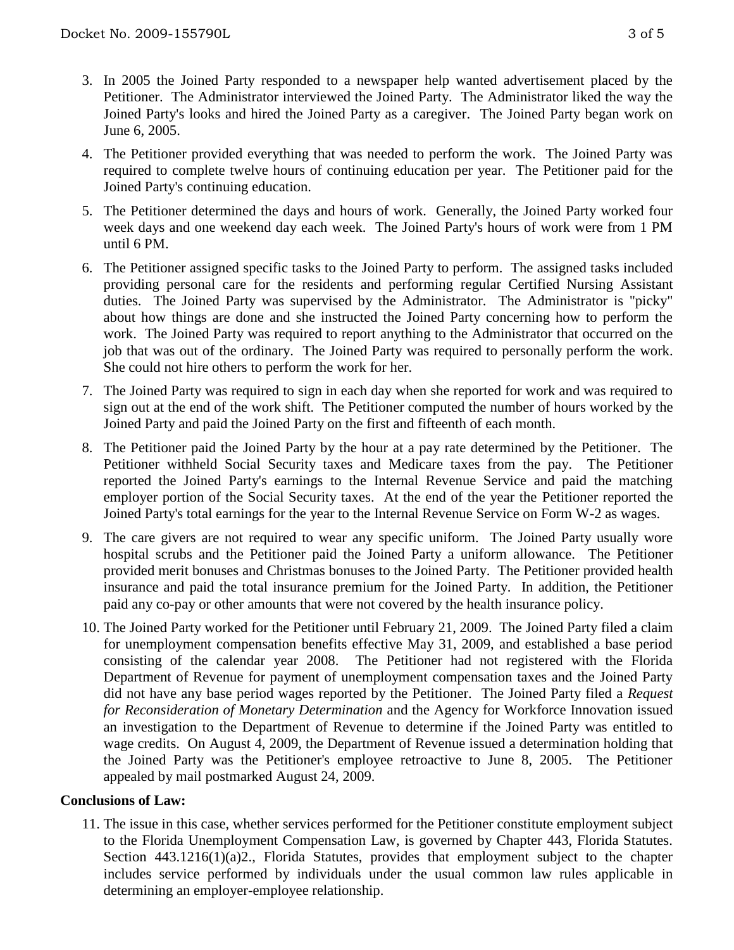- 3. In 2005 the Joined Party responded to a newspaper help wanted advertisement placed by the Petitioner. The Administrator interviewed the Joined Party. The Administrator liked the way the Joined Party's looks and hired the Joined Party as a caregiver. The Joined Party began work on June 6, 2005.
- 4. The Petitioner provided everything that was needed to perform the work. The Joined Party was required to complete twelve hours of continuing education per year. The Petitioner paid for the Joined Party's continuing education.
- 5. The Petitioner determined the days and hours of work. Generally, the Joined Party worked four week days and one weekend day each week. The Joined Party's hours of work were from 1 PM until 6 PM.
- 6. The Petitioner assigned specific tasks to the Joined Party to perform. The assigned tasks included providing personal care for the residents and performing regular Certified Nursing Assistant duties. The Joined Party was supervised by the Administrator. The Administrator is "picky" about how things are done and she instructed the Joined Party concerning how to perform the work. The Joined Party was required to report anything to the Administrator that occurred on the job that was out of the ordinary. The Joined Party was required to personally perform the work. She could not hire others to perform the work for her.
- 7. The Joined Party was required to sign in each day when she reported for work and was required to sign out at the end of the work shift. The Petitioner computed the number of hours worked by the Joined Party and paid the Joined Party on the first and fifteenth of each month.
- 8. The Petitioner paid the Joined Party by the hour at a pay rate determined by the Petitioner. The Petitioner withheld Social Security taxes and Medicare taxes from the pay. The Petitioner reported the Joined Party's earnings to the Internal Revenue Service and paid the matching employer portion of the Social Security taxes. At the end of the year the Petitioner reported the Joined Party's total earnings for the year to the Internal Revenue Service on Form W-2 as wages.
- 9. The care givers are not required to wear any specific uniform. The Joined Party usually wore hospital scrubs and the Petitioner paid the Joined Party a uniform allowance. The Petitioner provided merit bonuses and Christmas bonuses to the Joined Party. The Petitioner provided health insurance and paid the total insurance premium for the Joined Party. In addition, the Petitioner paid any co-pay or other amounts that were not covered by the health insurance policy.
- 10. The Joined Party worked for the Petitioner until February 21, 2009. The Joined Party filed a claim for unemployment compensation benefits effective May 31, 2009, and established a base period consisting of the calendar year 2008. The Petitioner had not registered with the Florida Department of Revenue for payment of unemployment compensation taxes and the Joined Party did not have any base period wages reported by the Petitioner. The Joined Party filed a *Request for Reconsideration of Monetary Determination* and the Agency for Workforce Innovation issued an investigation to the Department of Revenue to determine if the Joined Party was entitled to wage credits. On August 4, 2009, the Department of Revenue issued a determination holding that the Joined Party was the Petitioner's employee retroactive to June 8, 2005. The Petitioner appealed by mail postmarked August 24, 2009.

## **Conclusions of Law:**

11. The issue in this case, whether services performed for the Petitioner constitute employment subject to the Florida Unemployment Compensation Law, is governed by Chapter 443, Florida Statutes. Section 443.1216(1)(a)2., Florida Statutes, provides that employment subject to the chapter includes service performed by individuals under the usual common law rules applicable in determining an employer-employee relationship.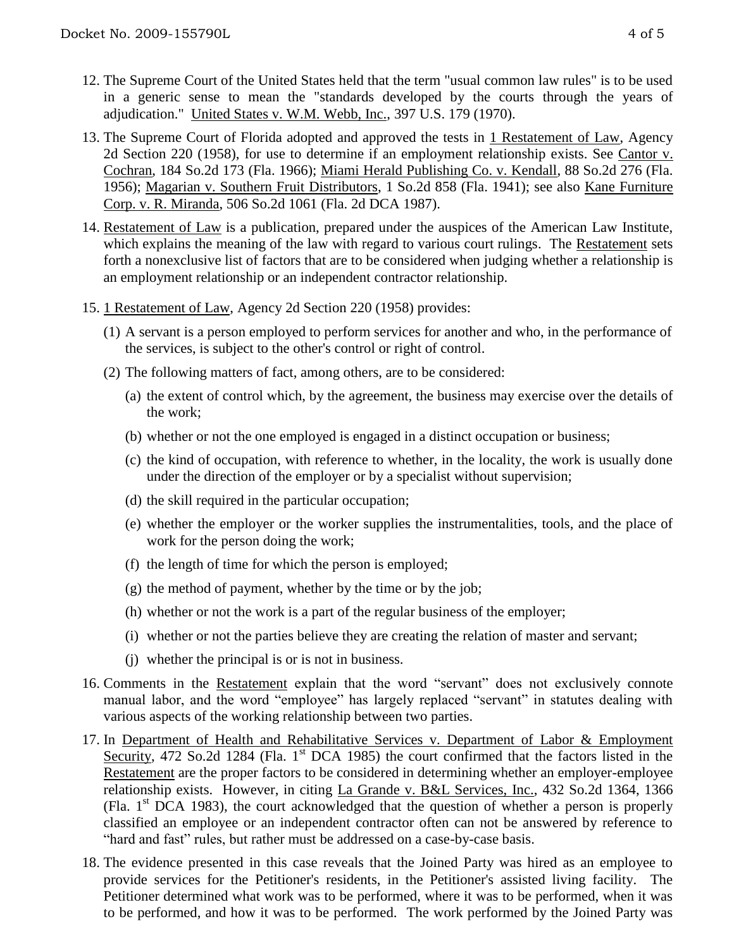- 12. The Supreme Court of the United States held that the term "usual common law rules" is to be used in a generic sense to mean the "standards developed by the courts through the years of adjudication." United States v. W.M. Webb, Inc., 397 U.S. 179 (1970).
- 13. The Supreme Court of Florida adopted and approved the tests in 1 Restatement of Law, Agency 2d Section 220 (1958), for use to determine if an employment relationship exists. See Cantor v. Cochran, 184 So.2d 173 (Fla. 1966); Miami Herald Publishing Co. v. Kendall, 88 So.2d 276 (Fla. 1956); Magarian v. Southern Fruit Distributors, 1 So.2d 858 (Fla. 1941); see also Kane Furniture Corp. v. R. Miranda, 506 So.2d 1061 (Fla. 2d DCA 1987).
- 14. Restatement of Law is a publication, prepared under the auspices of the American Law Institute, which explains the meaning of the law with regard to various court rulings. The Restatement sets forth a nonexclusive list of factors that are to be considered when judging whether a relationship is an employment relationship or an independent contractor relationship.
- 15. 1 Restatement of Law, Agency 2d Section 220 (1958) provides:
	- (1) A servant is a person employed to perform services for another and who, in the performance of the services, is subject to the other's control or right of control.
	- (2) The following matters of fact, among others, are to be considered:
		- (a) the extent of control which, by the agreement, the business may exercise over the details of the work;
		- (b) whether or not the one employed is engaged in a distinct occupation or business;
		- (c) the kind of occupation, with reference to whether, in the locality, the work is usually done under the direction of the employer or by a specialist without supervision;
		- (d) the skill required in the particular occupation;
		- (e) whether the employer or the worker supplies the instrumentalities, tools, and the place of work for the person doing the work;
		- (f) the length of time for which the person is employed;
		- (g) the method of payment, whether by the time or by the job;
		- (h) whether or not the work is a part of the regular business of the employer;
		- (i) whether or not the parties believe they are creating the relation of master and servant;
		- (j) whether the principal is or is not in business.
- 16. Comments in the Restatement explain that the word "servant" does not exclusively connote manual labor, and the word "employee" has largely replaced "servant" in statutes dealing with various aspects of the working relationship between two parties.
- 17. In Department of Health and Rehabilitative Services v. Department of Labor & Employment Security, 472 So.2d 1284 (Fla. 1<sup>st</sup> DCA 1985) the court confirmed that the factors listed in the Restatement are the proper factors to be considered in determining whether an employer-employee relationship exists. However, in citing La Grande v. B&L Services, Inc., 432 So.2d 1364, 1366 (Fla.  $1<sup>st</sup> DCA$  1983), the court acknowledged that the question of whether a person is properly classified an employee or an independent contractor often can not be answered by reference to "hard and fast" rules, but rather must be addressed on a case-by-case basis.
- 18. The evidence presented in this case reveals that the Joined Party was hired as an employee to provide services for the Petitioner's residents, in the Petitioner's assisted living facility. The Petitioner determined what work was to be performed, where it was to be performed, when it was to be performed, and how it was to be performed. The work performed by the Joined Party was